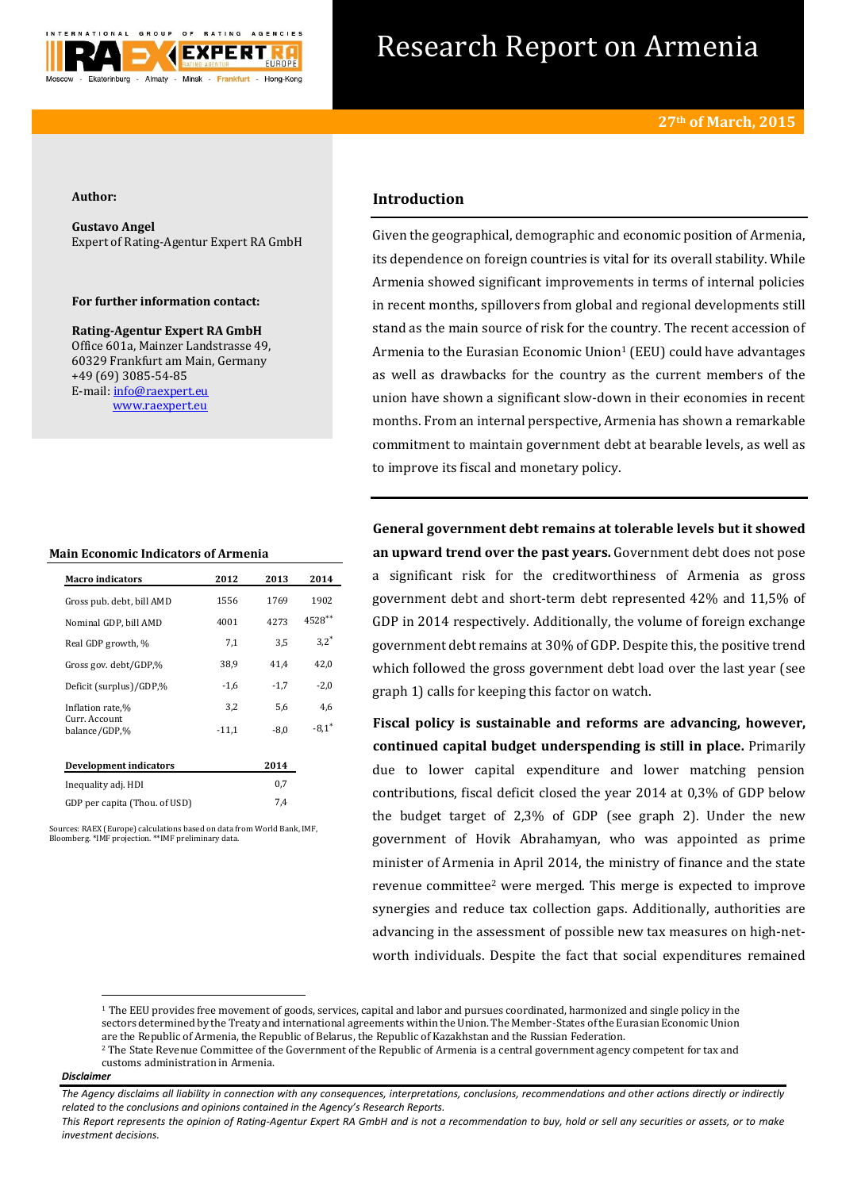

# Research Report on Armenia

#### **Author:**

**Gustavo Angel** Expert of Rating-Agentur Expert RA GmbH

#### **For further information contact:**

**Rating-Agentur Expert RA GmbH** Office 601a, Mainzer Landstrasse 49, 60329 Frankfurt am Main, Germany +49 (69) 3085-54-85 E-mail[: info@raexpert.eu](mailto:info@raexpert.eu) [www.raexpert.eu](http://raexpert.eu/)

#### **Main Economic Indicators of Armenia**

| <b>Macro indicators</b>        | 2012    | 2013   | 2014    |
|--------------------------------|---------|--------|---------|
| Gross pub. debt, bill AMD      | 1556    | 1769   | 1902    |
| Nominal GDP, bill AMD          | 4001    | 4273   | 4528**  |
| Real GDP growth, %             | 7,1     | 3.5    | $3.2*$  |
| Gross gov. debt/GDP,%          | 38,9    | 41.4   | 42.0    |
| Deficit (surplus)/GDP,%        | $-1,6$  | $-1.7$ | $-2.0$  |
| Inflation rate,%               | 3,2     | 5.6    | 4,6     |
| Curr. Account<br>balance/GDP,% | $-11.1$ | $-8.0$ | $-8.1*$ |
| <b>Development indicators</b>  |         | 2014   |         |
| Inequality adj. HDI            |         | 0.7    |         |

GDP per capita (Thou. of USD) 7,4

Sources: RAEX (Europe) calculations based on data from World Bank, IMF, Bloomberg. \*IMF projection. \*\*IMF preliminary data.

## **Introduction**

Given the geographical, demographic and economic position of Armenia, its dependence on foreign countries is vital for its overall stability. While Armenia showed significant improvements in terms of internal policies in recent months, spillovers from global and regional developments still stand as the main source of risk for the country. The recent accession of Armenia to the Eurasian Economic Union<sup>1</sup> (EEU) could have advantages as well as drawbacks for the country as the current members of the union have shown a significant slow-down in their economies in recent months. From an internal perspective, Armenia has shown a remarkable commitment to maintain government debt at bearable levels, as well as to improve its fiscal and monetary policy.

**General government debt remains at tolerable levels but it showed an upward trend over the past years.** Government debt does not pose a significant risk for the creditworthiness of Armenia as gross government debt and short-term debt represented 42% and 11,5% of GDP in 2014 respectively. Additionally, the volume of foreign exchange government debt remains at 30% of GDP. Despite this, the positive trend which followed the gross government debt load over the last year (see graph 1) calls for keeping this factor on watch.

**Fiscal policy is sustainable and reforms are advancing, however, continued capital budget underspending is still in place.** Primarily due to lower capital expenditure and lower matching pension contributions, fiscal deficit closed the year 2014 at 0,3% of GDP below the budget target of 2,3% of GDP (see graph 2). Under the new government of Hovik Abrahamyan, who was appointed as prime minister of Armenia in April 2014, the ministry of finance and the state revenue committee<sup>2</sup> were merged. This merge is expected to improve synergies and reduce tax collection gaps. Additionally, authorities are advancing in the assessment of possible new tax measures on high-networth individuals. Despite the fact that social expenditures remained

#### *Disclaimer*

**.** 

<sup>&</sup>lt;sup>1</sup> The EEU provides free movement of goods, services, capital and labor and pursues coordinated, harmonized and single policy in the sectors determined by the Treaty and international agreements within the Union. The Member-States of the Eurasian Economic Union are the Republic of Armenia, the Republic of Belarus, the Republic of Kazakhstan and the Russian Federation.

<sup>&</sup>lt;sup>2</sup> The State Revenue Committee of the Government of the Republic of Armenia is a central government agency competent for tax and customs administration in Armenia.

*The Agency disclaims all liability in connection with any consequences, interpretations, conclusions, recommendations and other actions directly or indirectly related to the conclusions and opinions contained in the Agency's Research Reports.*

*This Report represents the opinion of Rating-Agentur Expert RA GmbH and is not a recommendation to buy, hold or sell any securities or assets, or to make investment decisions.*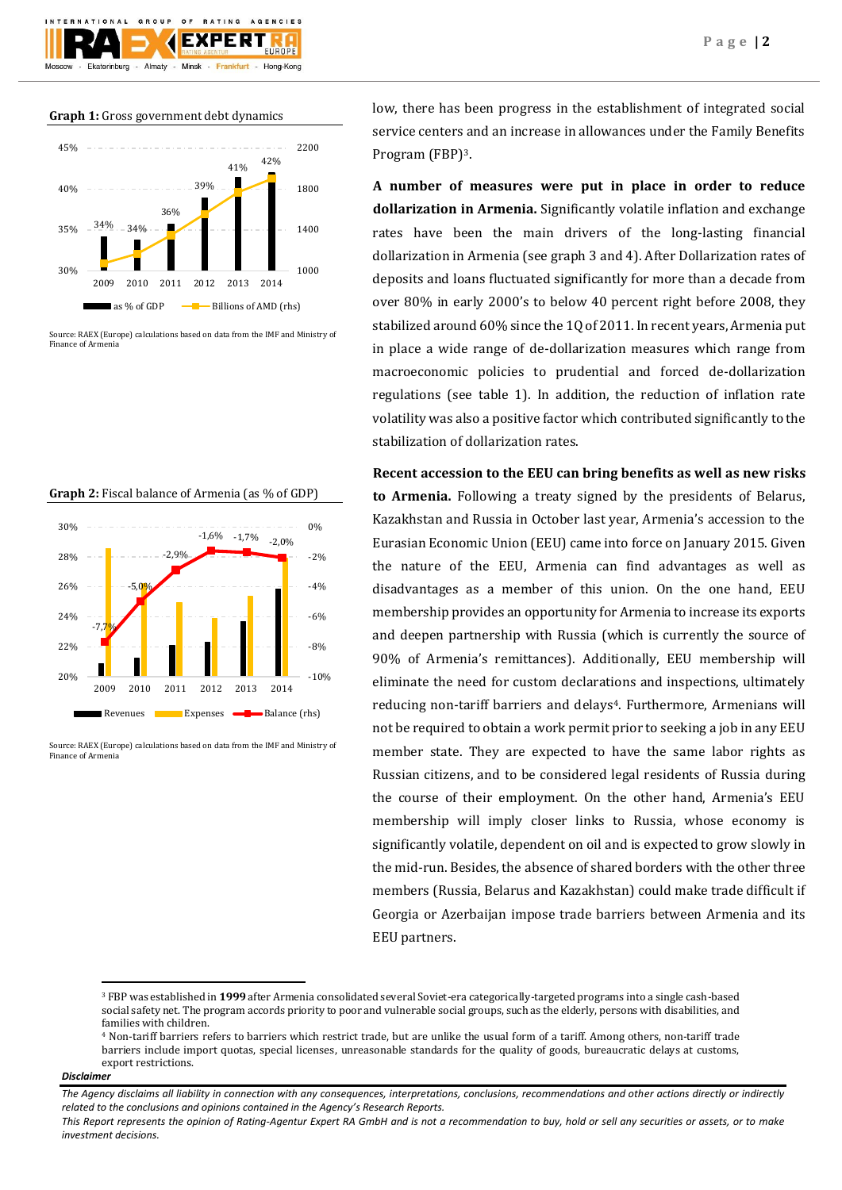

Source: RAEX (Europe) calculations based on data from the IMF and Ministry of Finance of Armenia



**Graph 2:** Fiscal balance of Armenia (as % of GDP)

Source: RAEX (Europe) calculations based on data from the IMF and Ministry of Finance of Armenia

low, there has been progress in the establishment of integrated social service centers and an increase in allowances under the Family Benefits Program (FBP)3.

**A number of measures were put in place in order to reduce dollarization in Armenia.** Significantly volatile inflation and exchange rates have been the main drivers of the long-lasting financial dollarization in Armenia (see graph 3 and 4). After Dollarization rates of deposits and loans fluctuated significantly for more than a decade from over 80% in early 2000's to below 40 percent right before 2008, they stabilized around 60% since the 1Q of 2011. In recent years, Armenia put in place a wide range of de-dollarization measures which range from macroeconomic policies to prudential and forced de-dollarization regulations (see table 1). In addition, the reduction of inflation rate volatility was also a positive factor which contributed significantly to the stabilization of dollarization rates.

**Recent accession to the EEU can bring benefits as well as new risks to Armenia.** Following a treaty signed by the presidents of Belarus, Kazakhstan and Russia in October last year, Armenia's accession to the Eurasian Economic Union (EEU) came into force on January 2015. Given the nature of the EEU, Armenia can find advantages as well as disadvantages as a member of this union. On the one hand, EEU membership provides an opportunity for Armenia to increase its exports and deepen partnership with Russia (which is currently the source of 90% of Armenia's remittances). Additionally, EEU membership will eliminate the need for custom declarations and inspections, ultimately reducing non-tariff barriers and delays<sup>4</sup>. Furthermore, Armenians will not be required to obtain a work permit prior to seeking a job in any EEU member state. They are expected to have the same labor rights as Russian citizens, and to be considered legal residents of Russia during the course of their employment. On the other hand, Armenia's EEU membership will imply closer links to Russia, whose economy is significantly volatile, dependent on oil and is expected to grow slowly in the mid-run. Besides, the absence of shared borders with the other three members (Russia, Belarus and Kazakhstan) could make trade difficult if Georgia or Azerbaijan impose trade barriers between Armenia and its EEU partners.

#### *Disclaimer*

**.** 

<sup>3</sup> FBP was established in **1999** after Armenia consolidated several Soviet-era categorically-targeted programs into a single cash-based social safety net. The program accords priority to poor and vulnerable social groups, such as the elderly, persons with disabilities, and families with children.

<sup>4</sup> Non-tariff barriers refers to barriers which restrict trade, but are unlike the usual form of [a tariff.](http://en.wikipedia.org/wiki/Tariff) Among others, non-tariff trade barriers include import quotas, special licenses, unreasonable standards for the quality of goods, bureaucratic delays at customs, export restrictions.

*The Agency disclaims all liability in connection with any consequences, interpretations, conclusions, recommendations and other actions directly or indirectly related to the conclusions and opinions contained in the Agency's Research Reports.*

*This Report represents the opinion of Rating-Agentur Expert RA GmbH and is not a recommendation to buy, hold or sell any securities or assets, or to make investment decisions.*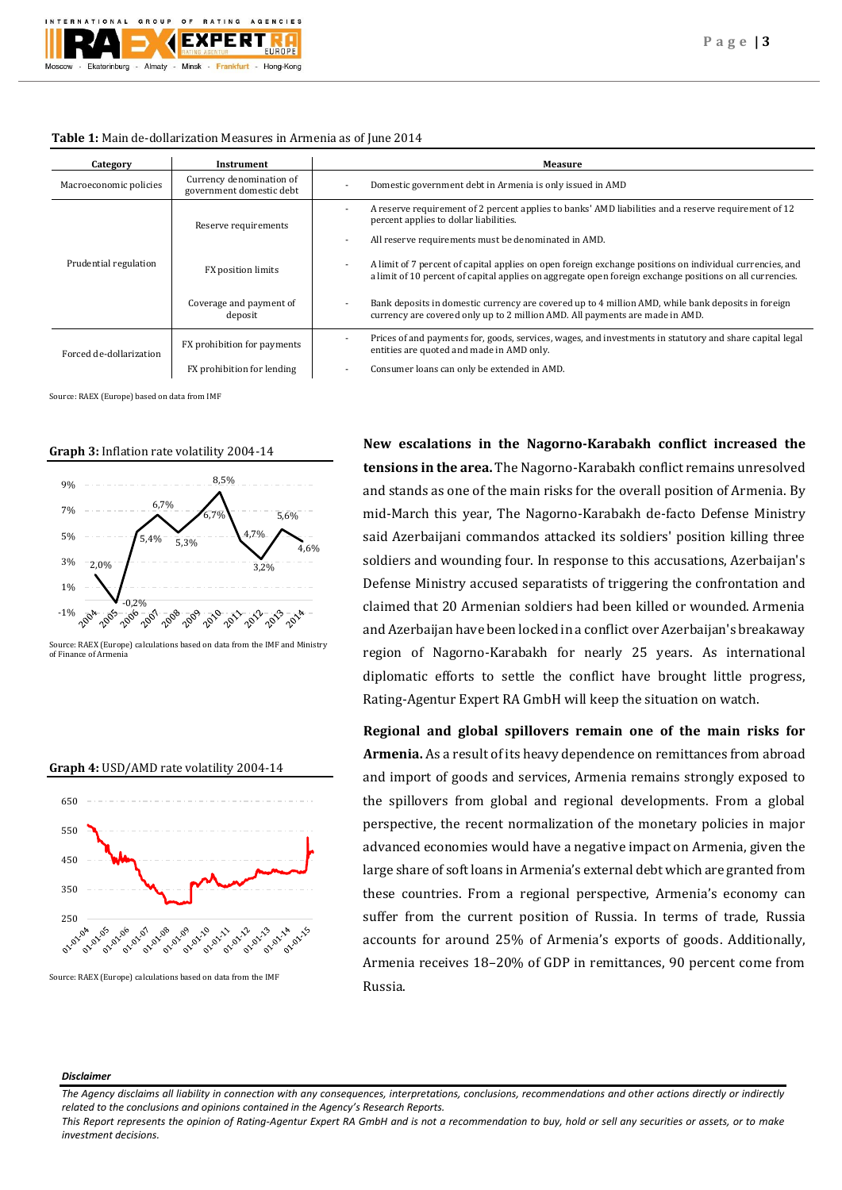

### **Table 1:** Main de-dollarization Measures in Armenia as of June 2014

| Category                | Instrument                                           | Measure                                                                                                                                                                                                                                          |  |
|-------------------------|------------------------------------------------------|--------------------------------------------------------------------------------------------------------------------------------------------------------------------------------------------------------------------------------------------------|--|
| Macroeconomic policies  | Currency denomination of<br>government domestic debt | Domestic government debt in Armenia is only issued in AMD                                                                                                                                                                                        |  |
| Prudential regulation   | Reserve requirements                                 | A reserve requirement of 2 percent applies to banks' AMD liabilities and a reserve requirement of 12<br>percent applies to dollar liabilities.                                                                                                   |  |
|                         |                                                      | All reserve requirements must be denominated in AMD.                                                                                                                                                                                             |  |
|                         | FX position limits                                   | A limit of 7 percent of capital applies on open foreign exchange positions on individual currencies, and<br>$\overline{\phantom{a}}$<br>a limit of 10 percent of capital applies on aggregate open foreign exchange positions on all currencies. |  |
|                         | Coverage and payment of<br>deposit                   | Bank deposits in domestic currency are covered up to 4 million AMD, while bank deposits in foreign<br>currency are covered only up to 2 million AMD. All payments are made in AMD.                                                               |  |
| Forced de-dollarization | FX prohibition for payments                          | Prices of and payments for, goods, services, wages, and investments in statutory and share capital legal<br>entities are quoted and made in AMD only.                                                                                            |  |
|                         | FX prohibition for lending                           | Consumer loans can only be extended in AMD.                                                                                                                                                                                                      |  |

Source: RAEX (Europe) based on data from IMF

#### **Graph 3:** Inflation rate volatility 2004-14



Source: RAEX (Europe) calculations based on data from the IMF and Ministry of Finance of Armeni



Source: RAEX (Europe) calculations based on data from the IMF

**New escalations in the Nagorno-Karabakh conflict increased the tensions in the area.** The Nagorno-Karabakh conflict remains unresolved and stands as one of the main risks for the overall position of Armenia. By mid-March this year, The Nagorno-Karabakh de-facto Defense Ministry said Azerbaijani commandos attacked its soldiers' position killing three soldiers and wounding four. In response to this accusations, Azerbaijan's Defense Ministry accused separatists of triggering the confrontation and claimed that 20 Armenian soldiers had been killed or wounded. Armenia and Azerbaijan have been locked in a conflict over Azerbaijan's breakaway region of Nagorno-Karabakh for nearly 25 years. As international diplomatic efforts to settle the conflict have brought little progress, Rating-Agentur Expert RA GmbH will keep the situation on watch.

**Regional and global spillovers remain one of the main risks for Armenia.** As a result of its heavy dependence on remittances from abroad and import of goods and services, Armenia remains strongly exposed to the spillovers from global and regional developments. From a global perspective, the recent normalization of the monetary policies in major advanced economies would have a negative impact on Armenia, given the large share of soft loans in Armenia's external debt which are granted from these countries. From a regional perspective, Armenia's economy can suffer from the current position of Russia. In terms of trade, Russia accounts for around 25% of Armenia's exports of goods. Additionally, Armenia receives 18–20% of GDP in remittances, 90 percent come from Russia.

#### *Disclaimer*

*The Agency disclaims all liability in connection with any consequences, interpretations, conclusions, recommendations and other actions directly or indirectly related to the conclusions and opinions contained in the Agency's Research Reports.*

*This Report represents the opinion of Rating-Agentur Expert RA GmbH and is not a recommendation to buy, hold or sell any securities or assets, or to make investment decisions.*